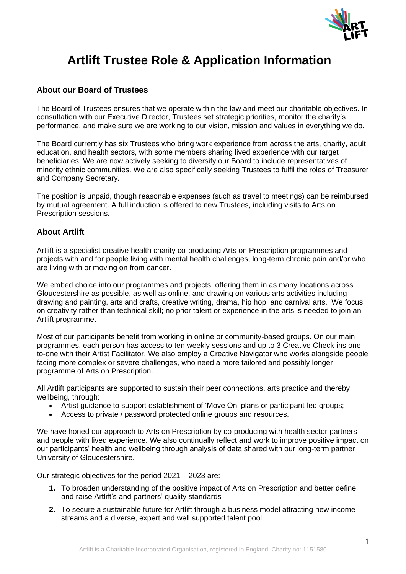

# **Artlift Trustee Role & Application Information**

## **About our Board of Trustees**

The Board of Trustees ensures that we operate within the law and meet our charitable objectives. In consultation with our Executive Director, Trustees set strategic priorities, monitor the charity's performance, and make sure we are working to our vision, mission and values in everything we do.

The Board currently has six Trustees who bring work experience from across the arts, charity, adult education, and health sectors, with some members sharing lived experience with our target beneficiaries. We are now actively seeking to diversify our Board to include representatives of minority ethnic communities. We are also specifically seeking Trustees to fulfil the roles of Treasurer and Company Secretary.

The position is unpaid, though reasonable expenses (such as travel to meetings) can be reimbursed by mutual agreement. A full induction is offered to new Trustees, including visits to Arts on Prescription sessions.

## **About Artlift**

Artlift is a specialist creative health charity co-producing Arts on Prescription programmes and projects with and for people living with mental health challenges, long-term chronic pain and/or who are living with or moving on from cancer.

We embed choice into our programmes and projects, offering them in as many locations across Gloucestershire as possible, as well as online, and drawing on various arts activities including drawing and painting, arts and crafts, creative writing, drama, hip hop, and carnival arts. We focus on creativity rather than technical skill; no prior talent or experience in the arts is needed to join an Artlift programme.

Most of our participants benefit from working in online or community-based groups. On our main programmes, each person has access to ten weekly sessions and up to 3 Creative Check-ins oneto-one with their Artist Facilitator. We also employ a Creative Navigator who works alongside people facing more complex or severe challenges, who need a more tailored and possibly longer programme of Arts on Prescription.

All Artlift participants are supported to sustain their peer connections, arts practice and thereby wellbeing, through:

- Artist guidance to support establishment of 'Move On' plans or participant-led groups;
- Access to private / password protected online groups and resources.

We have honed our approach to Arts on Prescription by co-producing with health sector partners and people with lived experience. We also continually reflect and work to improve positive impact on our participants' health and wellbeing through analysis of data shared with our long-term partner University of Gloucestershire.

Our strategic objectives for the period 2021 – 2023 are:

- **1.** To broaden understanding of the positive impact of Arts on Prescription and better define and raise Artlift's and partners' quality standards
- **2.** To secure a sustainable future for Artlift through a business model attracting new income streams and a diverse, expert and well supported talent pool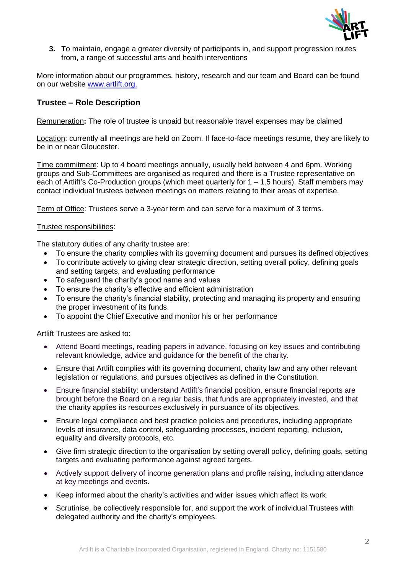

**3.** To maintain, engage a greater diversity of participants in, and support progression routes from, a range of successful arts and health interventions

More information about our programmes, history, research and our team and Board can be found on our website [www.artlift.org.](http://www.artlift.org./)

## **Trustee – Role Description**

Remuneration**:** The role of trustee is unpaid but reasonable travel expenses may be claimed

Location: currently all meetings are held on Zoom. If face-to-face meetings resume, they are likely to be in or near Gloucester.

Time commitment: Up to 4 board meetings annually, usually held between 4 and 6pm. Working groups and Sub-Committees are organised as required and there is a Trustee representative on each of Artlift's Co-Production groups (which meet quarterly for  $1 - 1.5$  hours). Staff members may contact individual trustees between meetings on matters relating to their areas of expertise.

Term of Office: Trustees serve a 3-year term and can serve for a maximum of 3 terms.

#### Trustee responsibilities:

The statutory duties of any charity trustee are:

- To ensure the charity complies with its governing document and pursues its defined objectives
- To contribute actively to giving clear strategic direction, setting overall policy, defining goals and setting targets, and evaluating performance
- To safeguard the charity's good name and values
- To ensure the charity's effective and efficient administration
- To ensure the charity's financial stability, protecting and managing its property and ensuring the proper investment of its funds.
- To appoint the Chief Executive and monitor his or her performance

Artlift Trustees are asked to:

- Attend Board meetings, reading papers in advance, focusing on key issues and contributing relevant knowledge, advice and guidance for the benefit of the charity.
- Ensure that Artlift complies with its governing document, charity law and any other relevant legislation or regulations, and pursues objectives as defined in the Constitution.
- Ensure financial stability: understand Artlift's financial position, ensure financial reports are brought before the Board on a regular basis, that funds are appropriately invested, and that the charity applies its resources exclusively in pursuance of its objectives.
- Ensure legal compliance and best practice policies and procedures, including appropriate levels of insurance, data control, safeguarding processes, incident reporting, inclusion, equality and diversity protocols, etc.
- Give firm strategic direction to the organisation by setting overall policy, defining goals, setting targets and evaluating performance against agreed targets.
- Actively support delivery of income generation plans and profile raising, including attendance at key meetings and events.
- Keep informed about the charity's activities and wider issues which affect its work.
- Scrutinise, be collectively responsible for, and support the work of individual Trustees with delegated authority and the charity's employees.